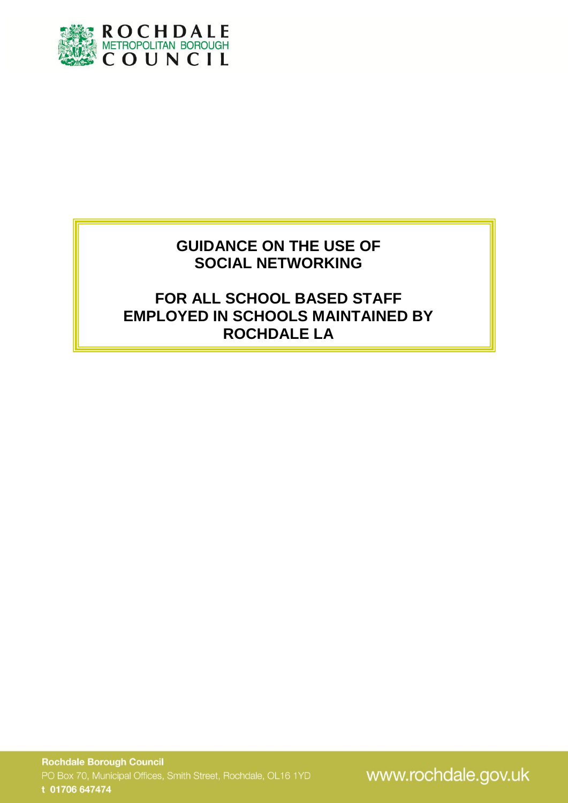

## **GUIDANCE ON THE USE OF SOCIAL NETWORKING**

# **FOR ALL SCHOOL BASED STAFF EMPLOYED IN SCHOOLS MAINTAINED BY ROCHDALE LA**

www.rochdale.gov.uk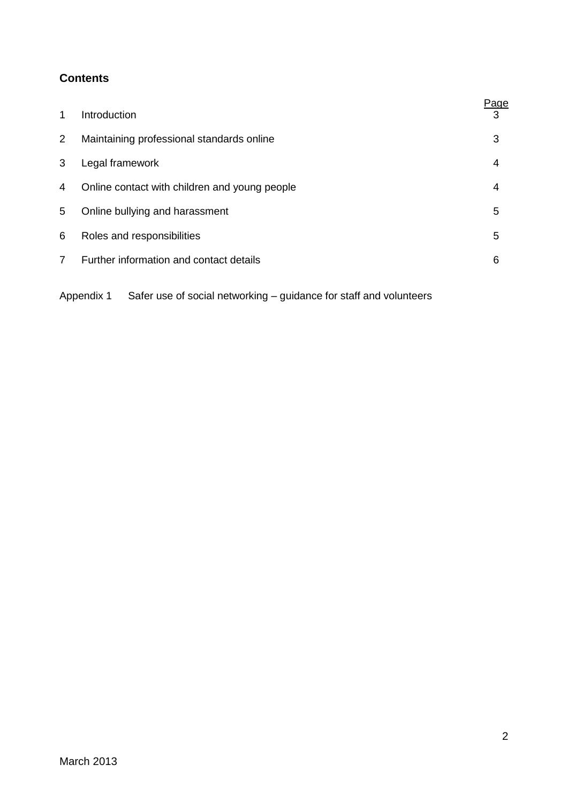## **Contents**

|                |                                               | Page |
|----------------|-----------------------------------------------|------|
| 1              | Introduction                                  | 3    |
| $\overline{2}$ | Maintaining professional standards online     | 3    |
| 3              | Legal framework                               | 4    |
| 4              | Online contact with children and young people | 4    |
| 5              | Online bullying and harassment                | 5    |
| 6              | Roles and responsibilities                    | 5    |
| $\overline{7}$ | Further information and contact details       | 6    |
|                |                                               |      |

Appendix 1 Safer use of social networking – guidance for staff and volunteers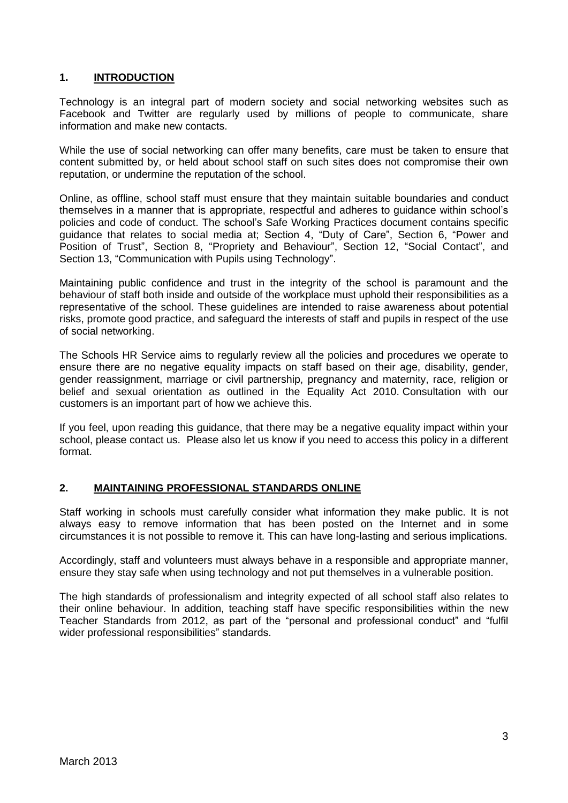## **1. INTRODUCTION**

Technology is an integral part of modern society and social networking websites such as Facebook and Twitter are regularly used by millions of people to communicate, share information and make new contacts.

While the use of social networking can offer many benefits, care must be taken to ensure that content submitted by, or held about school staff on such sites does not compromise their own reputation, or undermine the reputation of the school.

Online, as offline, school staff must ensure that they maintain suitable boundaries and conduct themselves in a manner that is appropriate, respectful and adheres to guidance within school's policies and code of conduct. The school's Safe Working Practices document contains specific guidance that relates to social media at; Section 4, "Duty of Care", Section 6, "Power and Position of Trust", Section 8, "Propriety and Behaviour", Section 12, "Social Contact", and Section 13, "Communication with Pupils using Technology".

Maintaining public confidence and trust in the integrity of the school is paramount and the behaviour of staff both inside and outside of the workplace must uphold their responsibilities as a representative of the school. These guidelines are intended to raise awareness about potential risks, promote good practice, and safeguard the interests of staff and pupils in respect of the use of social networking.

The Schools HR Service aims to regularly review all the policies and procedures we operate to ensure there are no negative equality impacts on staff based on their age, disability, gender, gender reassignment, marriage or civil partnership, pregnancy and maternity, race, religion or belief and sexual orientation as outlined in the Equality Act 2010. Consultation with our customers is an important part of how we achieve this.

If you feel, upon reading this guidance, that there may be a negative equality impact within your school, please contact us. Please also let us know if you need to access this policy in a different format.

## **2. MAINTAINING PROFESSIONAL STANDARDS ONLINE**

Staff working in schools must carefully consider what information they make public. It is not always easy to remove information that has been posted on the Internet and in some circumstances it is not possible to remove it. This can have long-lasting and serious implications.

Accordingly, staff and volunteers must always behave in a responsible and appropriate manner, ensure they stay safe when using technology and not put themselves in a vulnerable position.

The high standards of professionalism and integrity expected of all school staff also relates to their online behaviour. In addition, teaching staff have specific responsibilities within the new Teacher Standards from 2012, as part of the "personal and professional conduct" and "fulfil wider professional responsibilities" standards.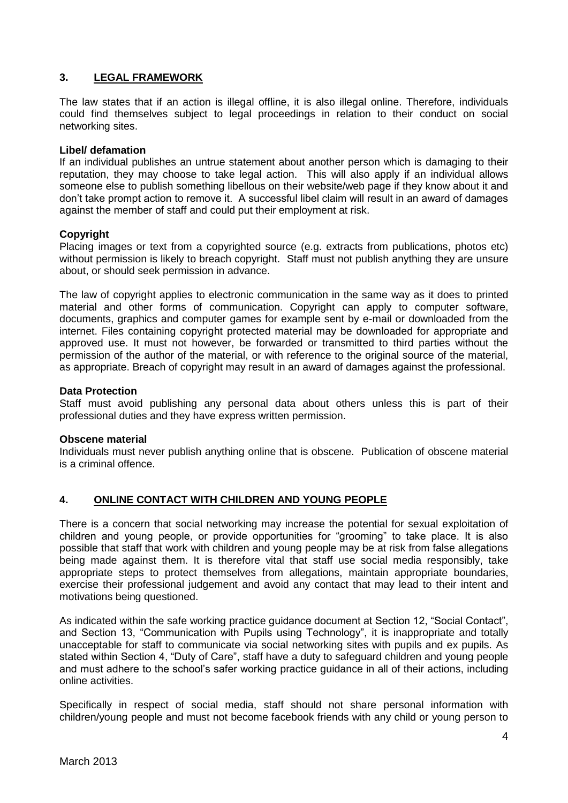## **3. LEGAL FRAMEWORK**

The law states that if an action is illegal offline, it is also illegal online. Therefore, individuals could find themselves subject to legal proceedings in relation to their conduct on social networking sites.

#### **Libel/ defamation**

If an individual publishes an untrue statement about another person which is damaging to their reputation, they may choose to take legal action. This will also apply if an individual allows someone else to publish something libellous on their website/web page if they know about it and don't take prompt action to remove it. A successful libel claim will result in an award of damages against the member of staff and could put their employment at risk.

#### **Copyright**

Placing images or text from a copyrighted source (e.g. extracts from publications, photos etc) without permission is likely to breach copyright. Staff must not publish anything they are unsure about, or should seek permission in advance.

The law of copyright applies to electronic communication in the same way as it does to printed material and other forms of communication. Copyright can apply to computer software, documents, graphics and computer games for example sent by e-mail or downloaded from the internet. Files containing copyright protected material may be downloaded for appropriate and approved use. It must not however, be forwarded or transmitted to third parties without the permission of the author of the material, or with reference to the original source of the material, as appropriate. Breach of copyright may result in an award of damages against the professional.

#### **Data Protection**

Staff must avoid publishing any personal data about others unless this is part of their professional duties and they have express written permission.

#### **Obscene material**

Individuals must never publish anything online that is obscene. Publication of obscene material is a criminal offence.

#### **4. ONLINE CONTACT WITH CHILDREN AND YOUNG PEOPLE**

There is a concern that social networking may increase the potential for sexual exploitation of children and young people, or provide opportunities for "grooming" to take place. It is also possible that staff that work with children and young people may be at risk from false allegations being made against them. It is therefore vital that staff use social media responsibly, take appropriate steps to protect themselves from allegations, maintain appropriate boundaries, exercise their professional judgement and avoid any contact that may lead to their intent and motivations being questioned.

As indicated within the safe working practice guidance document at Section 12, "Social Contact", and Section 13, "Communication with Pupils using Technology", it is inappropriate and totally unacceptable for staff to communicate via social networking sites with pupils and ex pupils. As stated within Section 4, "Duty of Care", staff have a duty to safeguard children and young people and must adhere to the school's safer working practice guidance in all of their actions, including online activities.

Specifically in respect of social media, staff should not share personal information with children/young people and must not become facebook friends with any child or young person to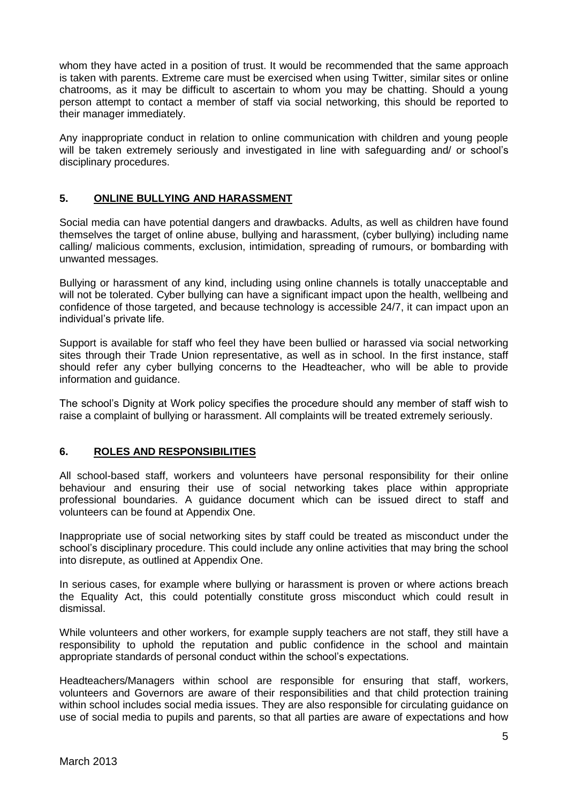whom they have acted in a position of trust. It would be recommended that the same approach is taken with parents. Extreme care must be exercised when using Twitter, similar sites or online chatrooms, as it may be difficult to ascertain to whom you may be chatting. Should a young person attempt to contact a member of staff via social networking, this should be reported to their manager immediately.

Any inappropriate conduct in relation to online communication with children and young people will be taken extremely seriously and investigated in line with safeguarding and/ or school's disciplinary procedures.

## **5. ONLINE BULLYING AND HARASSMENT**

Social media can have potential dangers and drawbacks. Adults, as well as children have found themselves the target of online abuse, bullying and harassment, (cyber bullying) including name calling/ malicious comments, exclusion, intimidation, spreading of rumours, or bombarding with unwanted messages.

Bullying or harassment of any kind, including using online channels is totally unacceptable and will not be tolerated. Cyber bullying can have a significant impact upon the health, wellbeing and confidence of those targeted, and because technology is accessible 24/7, it can impact upon an individual's private life.

Support is available for staff who feel they have been bullied or harassed via social networking sites through their Trade Union representative, as well as in school. In the first instance, staff should refer any cyber bullying concerns to the Headteacher, who will be able to provide information and guidance.

The school's Dignity at Work policy specifies the procedure should any member of staff wish to raise a complaint of bullying or harassment. All complaints will be treated extremely seriously.

#### **6. ROLES AND RESPONSIBILITIES**

All school-based staff, workers and volunteers have personal responsibility for their online behaviour and ensuring their use of social networking takes place within appropriate professional boundaries. A guidance document which can be issued direct to staff and volunteers can be found at Appendix One.

Inappropriate use of social networking sites by staff could be treated as misconduct under the school's disciplinary procedure. This could include any online activities that may bring the school into disrepute, as outlined at Appendix One.

In serious cases, for example where bullying or harassment is proven or where actions breach the Equality Act, this could potentially constitute gross misconduct which could result in dismissal.

While volunteers and other workers, for example supply teachers are not staff, they still have a responsibility to uphold the reputation and public confidence in the school and maintain appropriate standards of personal conduct within the school's expectations.

Headteachers/Managers within school are responsible for ensuring that staff, workers, volunteers and Governors are aware of their responsibilities and that child protection training within school includes social media issues. They are also responsible for circulating guidance on use of social media to pupils and parents, so that all parties are aware of expectations and how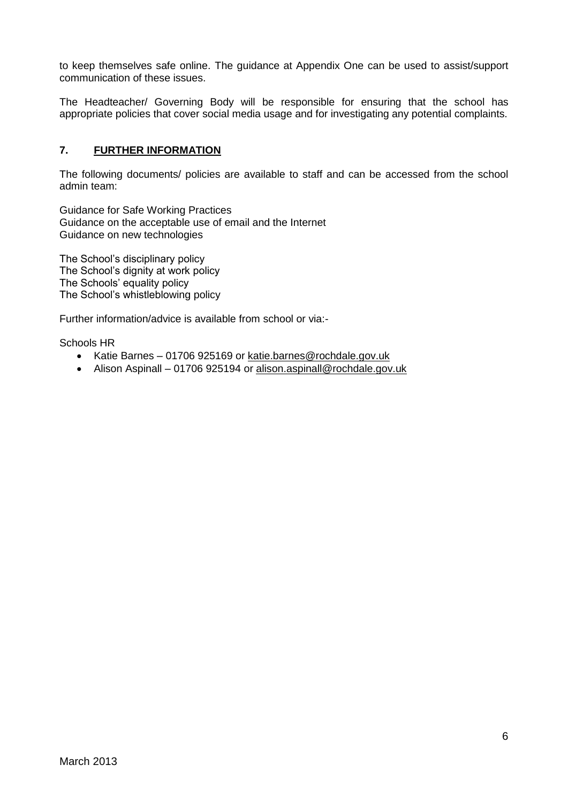to keep themselves safe online. The guidance at Appendix One can be used to assist/support communication of these issues.

The Headteacher/ Governing Body will be responsible for ensuring that the school has appropriate policies that cover social media usage and for investigating any potential complaints.

## **7. FURTHER INFORMATION**

The following documents/ policies are available to staff and can be accessed from the school admin team:

Guidance for Safe Working Practices Guidance on the acceptable use of email and the Internet Guidance on new technologies

The School's disciplinary policy The School's dignity at work policy The Schools' equality policy The School's whistleblowing policy

Further information/advice is available from school or via:-

Schools HR

- Katie Barnes 01706 925169 or [katie.barnes@rochdale.gov.uk](mailto:katie.barnes@rochdale.gov.uk)
- Alison Aspinall 01706 925194 or [alison.aspinall@rochdale.gov.uk](mailto:alison.aspinall@rochdale.gov.uk)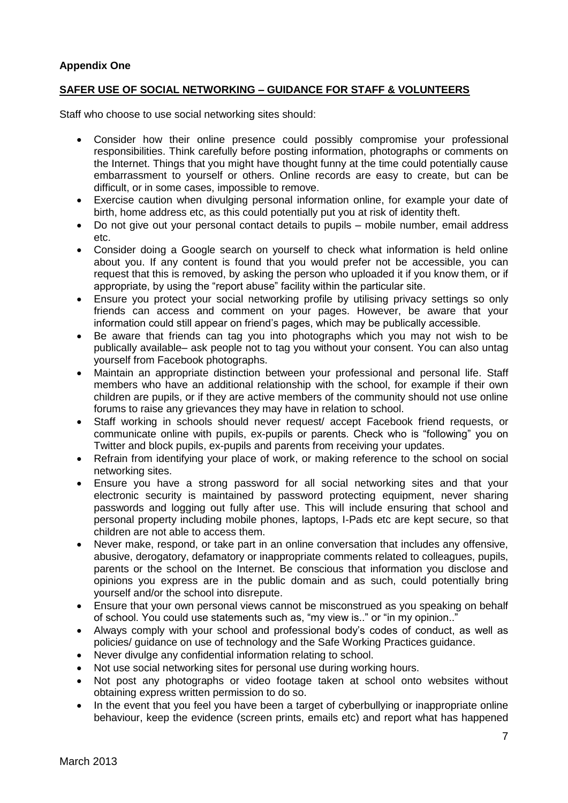## **Appendix One**

#### **SAFER USE OF SOCIAL NETWORKING – GUIDANCE FOR STAFF & VOLUNTEERS**

Staff who choose to use social networking sites should:

- Consider how their online presence could possibly compromise your professional responsibilities. Think carefully before posting information, photographs or comments on the Internet. Things that you might have thought funny at the time could potentially cause embarrassment to yourself or others. Online records are easy to create, but can be difficult, or in some cases, impossible to remove.
- Exercise caution when divulging personal information online, for example your date of birth, home address etc, as this could potentially put you at risk of identity theft.
- Do not give out your personal contact details to pupils mobile number, email address etc.
- Consider doing a Google search on yourself to check what information is held online about you. If any content is found that you would prefer not be accessible, you can request that this is removed, by asking the person who uploaded it if you know them, or if appropriate, by using the "report abuse" facility within the particular site.
- Ensure you protect your social networking profile by utilising privacy settings so only friends can access and comment on your pages. However, be aware that your information could still appear on friend's pages, which may be publically accessible.
- Be aware that friends can tag you into photographs which you may not wish to be publically available– ask people not to tag you without your consent. You can also untag yourself from Facebook photographs.
- Maintain an appropriate distinction between your professional and personal life. Staff members who have an additional relationship with the school, for example if their own children are pupils, or if they are active members of the community should not use online forums to raise any grievances they may have in relation to school.
- Staff working in schools should never request/ accept Facebook friend requests, or communicate online with pupils, ex-pupils or parents. Check who is "following" you on Twitter and block pupils, ex-pupils and parents from receiving your updates.
- Refrain from identifying your place of work, or making reference to the school on social networking sites.
- Ensure you have a strong password for all social networking sites and that your electronic security is maintained by password protecting equipment, never sharing passwords and logging out fully after use. This will include ensuring that school and personal property including mobile phones, laptops, I-Pads etc are kept secure, so that children are not able to access them.
- Never make, respond, or take part in an online conversation that includes any offensive, abusive, derogatory, defamatory or inappropriate comments related to colleagues, pupils, parents or the school on the Internet. Be conscious that information you disclose and opinions you express are in the public domain and as such, could potentially bring yourself and/or the school into disrepute.
- Ensure that your own personal views cannot be misconstrued as you speaking on behalf of school. You could use statements such as, "my view is.." or "in my opinion.."
- Always comply with your school and professional body's codes of conduct, as well as policies/ guidance on use of technology and the Safe Working Practices guidance.
- Never divulge any confidential information relating to school.
- Not use social networking sites for personal use during working hours.
- Not post any photographs or video footage taken at school onto websites without obtaining express written permission to do so.
- In the event that you feel you have been a target of cyberbullying or inappropriate online behaviour, keep the evidence (screen prints, emails etc) and report what has happened